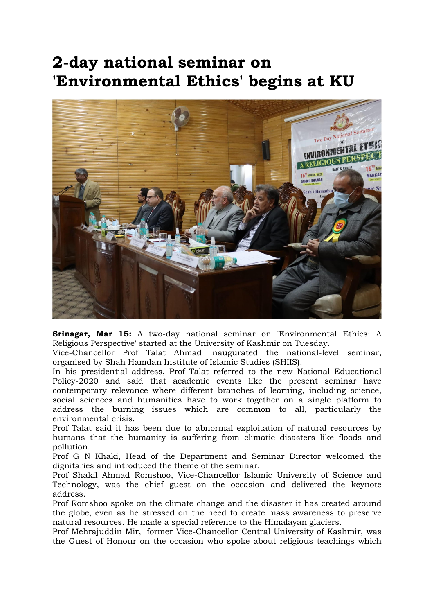## 2-day national seminar on 'Environmental Ethics' begins at KU



Srinagar, Mar 15: A two-day national seminar on 'Environmental Ethics: A Religious Perspective' started at the University of Kashmir on Tuesday.

Vice-Chancellor Prof Talat Ahmad inaugurated the national-level seminar, organised by Shah Hamdan Institute of Islamic Studies (SHIIS).

In his presidential address, Prof Talat referred to the new National Educational Policy-2020 and said that academic events like the present seminar have contemporary relevance where different branches of learning, including science, social sciences and humanities have to work together on a single platform to address the burning issues which are common to all, particularly the environmental crisis.

Prof Talat said it has been due to abnormal exploitation of natural resources by humans that the humanity is suffering from climatic disasters like floods and pollution.

Prof G N Khaki, Head of the Department and Seminar Director welcomed the dignitaries and introduced the theme of the seminar.

Prof Shakil Ahmad Romshoo, Vice-Chancellor Islamic University of Science and Technology, was the chief guest on the occasion and delivered the keynote address.

Prof Romshoo spoke on the climate change and the disaster it has created around the globe, even as he stressed on the need to create mass awareness to preserve natural resources. He made a special reference to the Himalayan glaciers.

Prof Mehrajuddin Mir, former Vice-Chancellor Central University of Kashmir, was the Guest of Honour on the occasion who spoke about religious teachings which